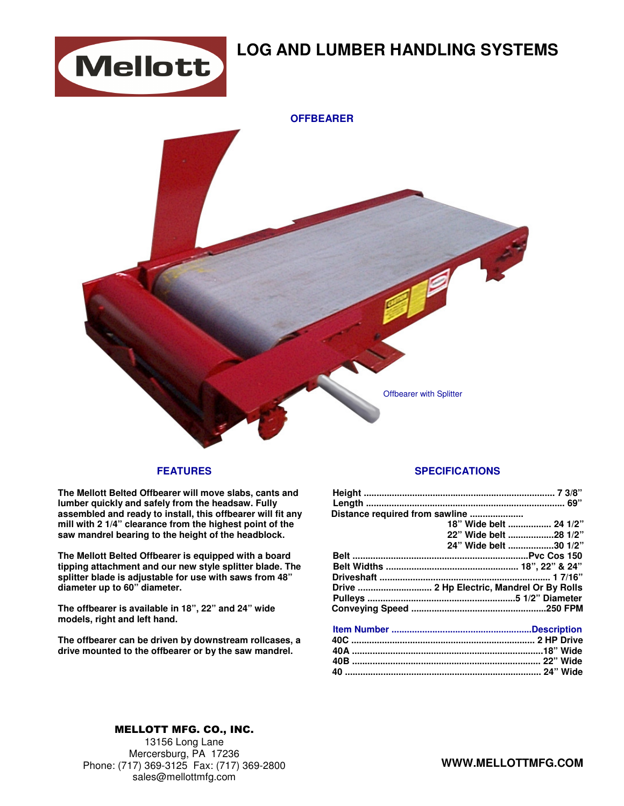

# **LOG AND LUMBER HANDLING SYSTEMS**



#### **FEATURES**

**The Mellott Belted Offbearer will move slabs, cants and lumber quickly and safely from the headsaw. Fully assembled and ready to install, this offbearer will fit any mill with 2 1/4" clearance from the highest point of the saw mandrel bearing to the height of the headblock.**

**The Mellott Belted Offbearer is equipped with a board tipping attachment and our new style splitter blade. The splitter blade is adjustable for use with saws from 48" diameter up to 60" diameter.** 

**The offbearer is available in 18", 22" and 24" wide models, right and left hand.** 

**The offbearer can be driven by downstream rollcases, a drive mounted to the offbearer or by the saw mandrel.** 

#### **SPECIFICATIONS**

| Distance required from sawline |                        |  |
|--------------------------------|------------------------|--|
|                                | 18" Wide belt  24 1/2" |  |
|                                | 22" Wide belt 28 1/2"  |  |
|                                | 24" Wide belt 30 1/2"  |  |
|                                |                        |  |
|                                |                        |  |
|                                |                        |  |
|                                |                        |  |
|                                |                        |  |
|                                |                        |  |
|                                |                        |  |

### MELLOTT MFG. CO., INC.

13156 Long Lane Mercersburg, PA 17236 Phone: (717) 369-3125 Fax: (717) 369-2800 sales@mellottmfg.com